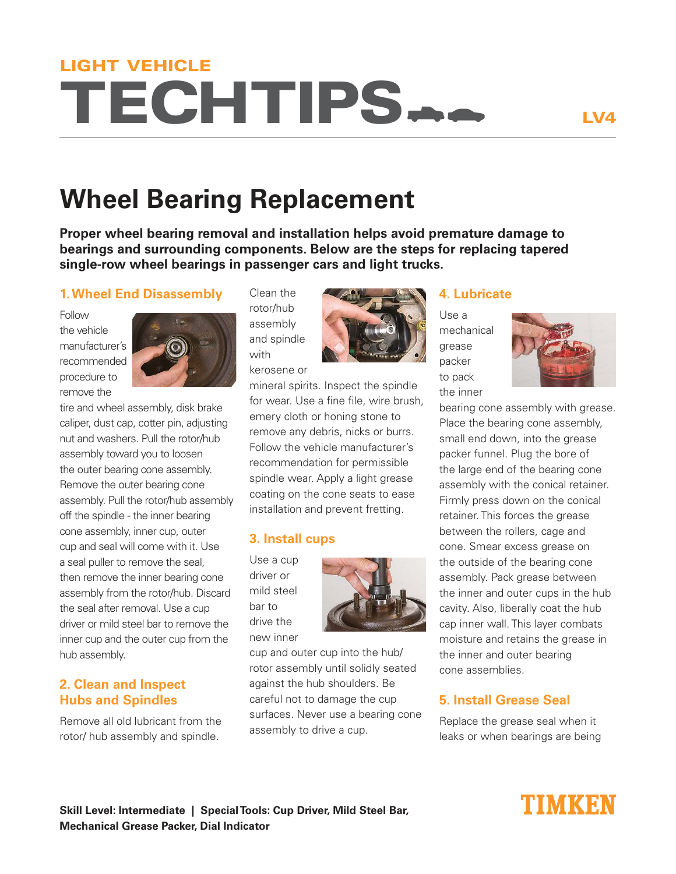# TECHTIPS LIGHT VEHICLE

# **Wheel Bearing Replacement**

**Proper wheel bearing removal and installation helps avoid premature damage to bearings and surrounding components. Below are the steps for replacing tapered single-row wheel bearings in passenger cars and light trucks.**

#### **1. Wheel End Disassembly**

Follow the vehicle manufacturer's recommended procedure to remove the



tire and wheel assembly, disk brake caliper, dust cap, cotter pin, adjusting nut and washers. Pull the rotor/hub assembly toward you to loosen the outer bearing cone assembly. Remove the outer bearing cone assembly. Pull the rotor/hub assembly off the spindle - the inner bearing cone assembly, inner cup, outer cup and seal will come with it. Use a seal puller to remove the seal, then remove the inner bearing cone assembly from the rotor/hub. Discard the seal after removal. Use a cup driver or mild steel bar to remove the inner cup and the outer cup from the hub assembly.

#### **2. Clean and Inspect Hubs and Spindles**

Remove all old lubricant from the rotor/ hub assembly and spindle.

Clean the rotor/hub assembly and spindle with kerosene or



mineral spirits. Inspect the spindle for wear. Use a fine file, wire brush, emery cloth or honing stone to remove any debris, nicks or burrs. Follow the vehicle manufacturer's recommendation for permissible spindle wear. Apply a light grease coating on the cone seats to ease installation and prevent fretting.

#### **3. Install cups**

Use a cup driver or mild steel bar to drive the new inner



cup and outer cup into the hub/ rotor assembly until solidly seated against the hub shoulders. Be careful not to damage the cup surfaces. Never use a bearing cone assembly to drive a cup.

#### **4. Lubricate**

Use a mechanical grease packer to pack the inner



bearing cone assembly with grease. Place the bearing cone assembly, small end down, into the grease packer funnel. Plug the bore of the large end of the bearing cone assembly with the conical retainer. Firmly press down on the conical retainer. This forces the grease between the rollers, cage and cone. Smear excess grease on the outside of the bearing cone assembly. Pack grease between the inner and outer cups in the hub cavity. Also, liberally coat the hub cap inner wall. This layer combats moisture and retains the grease in the inner and outer bearing cone assemblies.

### **5. Install Grease Seal**

Replace the grease seal when it leaks or when bearings are being

#### **Skill Level: Intermediate | Special Tools: Cup Driver, Mild Steel Bar, Mechanical Grease Packer, Dial Indicator**

## TIMKEN